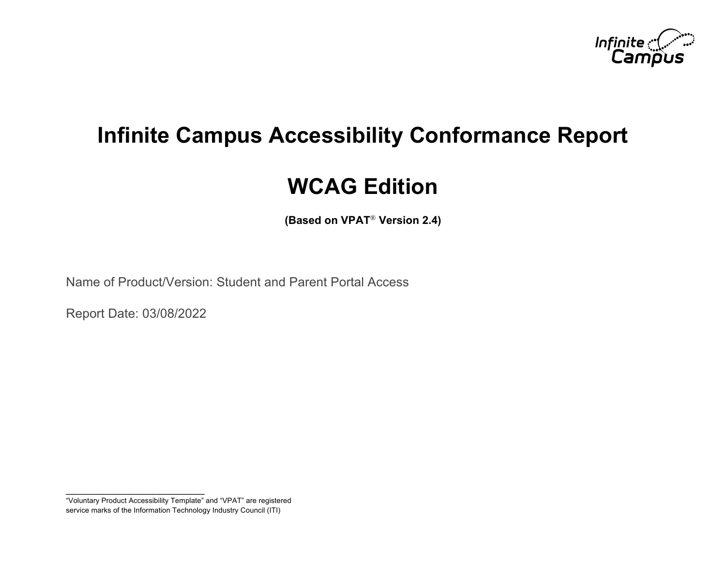

# **Infinite Campus Accessibility Conformance Report**

# **WCAG Edition**

**(Based on VPAT**® **Version 2.4)**

Name of Product/Version: Student and Parent Portal Access

Report Date: 03/08/2022

**\_\_\_\_\_\_\_\_\_\_\_\_\_\_\_\_\_\_\_\_\_\_\_\_\_\_\_\_\_\_\_\_\_\_**

<sup>&</sup>quot;Voluntary Product Accessibility Template" and "VPAT" are registered service marks of the Information Technology Industry Council (ITI)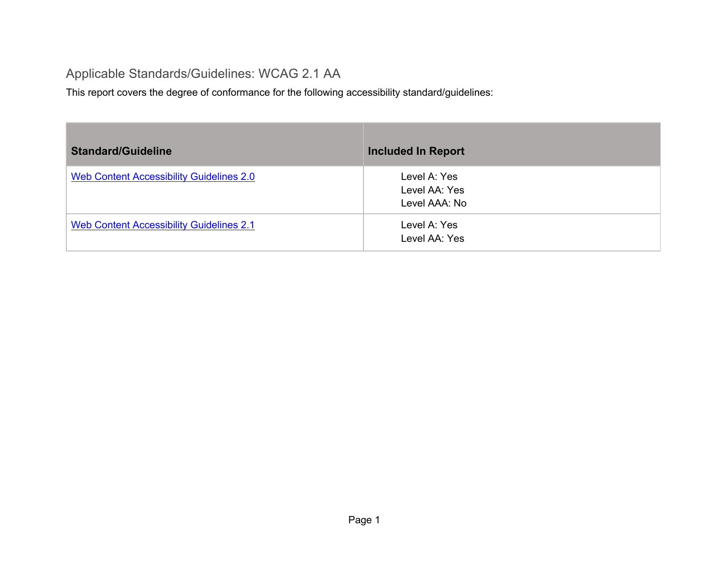#### Applicable Standards/Guidelines: WCAG 2.1 AA

This report covers the degree of conformance for the following accessibility standard/guidelines:

| <b>Standard/Guideline</b>                       | <b>Included In Report</b>                      |
|-------------------------------------------------|------------------------------------------------|
| Web Content Accessibility Guidelines 2.0        | Level A: Yes<br>Level AA: Yes<br>Level AAA: No |
| <b>Web Content Accessibility Guidelines 2.1</b> | Level A: Yes<br>Level AA: Yes                  |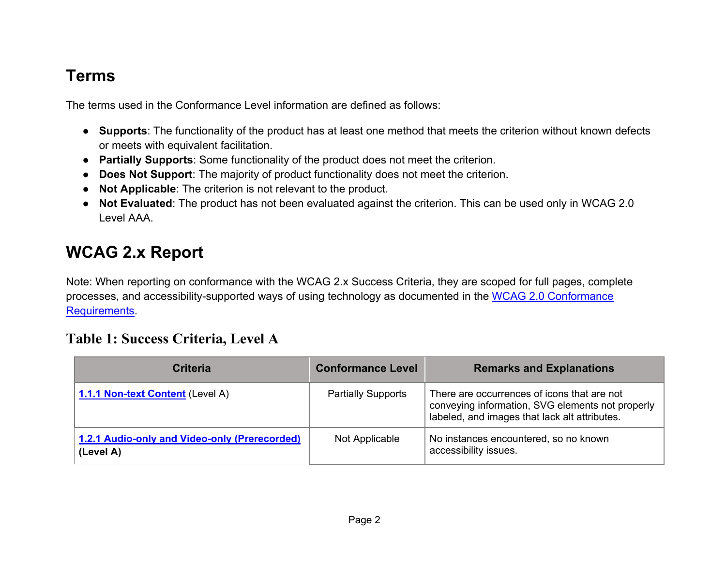### **Terms**

The terms used in the Conformance Level information are defined as follows:

- **Supports**: The functionality of the product has at least one method that meets the criterion without known defects or meets with equivalent facilitation.
- **Partially Supports**: Some functionality of the product does not meet the criterion.
- **Does Not Support**: The majority of product functionality does not meet the criterion.
- **Not Applicable**: The criterion is not relevant to the product.
- **Not Evaluated**: The product has not been evaluated against the criterion. This can be used only in WCAG 2.0 Level AAA.

# **WCAG 2.x Report**

Note: When reporting on conformance with the WCAG 2.x Success Criteria, they are scoped for full pages, complete processes, and accessibility-supported ways of using technology as documented in the WCAG 2.0 Conformance Requirements.

#### **Table 1: Success Criteria, Level A**

| <b>Criteria</b>                                            | <b>Conformance Level</b>  | <b>Remarks and Explanations</b>                                                                                                                  |
|------------------------------------------------------------|---------------------------|--------------------------------------------------------------------------------------------------------------------------------------------------|
| 1.1.1 Non-text Content (Level A)                           | <b>Partially Supports</b> | There are occurrences of icons that are not<br>conveying information, SVG elements not properly<br>labeled, and images that lack alt attributes. |
| 1.2.1 Audio-only and Video-only (Prerecorded)<br>(Level A) | Not Applicable            | No instances encountered, so no known<br>accessibility issues.                                                                                   |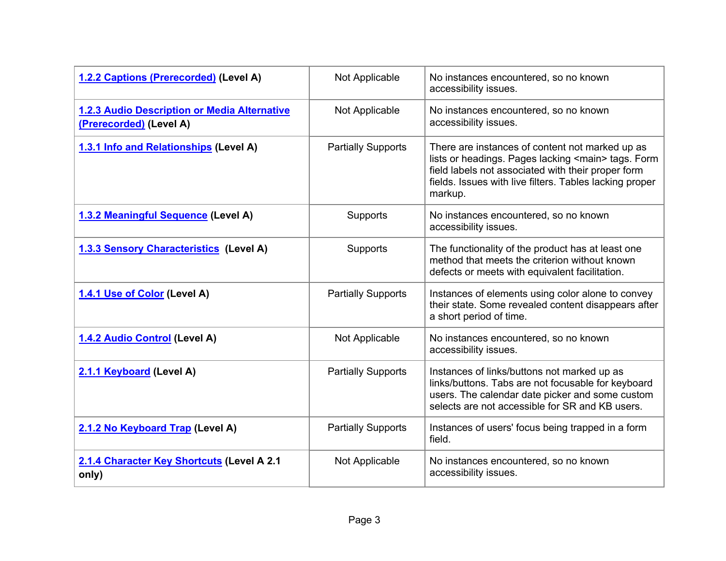| 1.2.2 Captions (Prerecorded) (Level A)                                  | Not Applicable            | No instances encountered, so no known<br>accessibility issues.                                                                                                                                                                              |
|-------------------------------------------------------------------------|---------------------------|---------------------------------------------------------------------------------------------------------------------------------------------------------------------------------------------------------------------------------------------|
| 1.2.3 Audio Description or Media Alternative<br>(Prerecorded) (Level A) | Not Applicable            | No instances encountered, so no known<br>accessibility issues.                                                                                                                                                                              |
| 1.3.1 Info and Relationships (Level A)                                  | <b>Partially Supports</b> | There are instances of content not marked up as<br>lists or headings. Pages lacking <main> tags. Form<br/>field labels not associated with their proper form<br/>fields. Issues with live filters. Tables lacking proper<br/>markup.</main> |
| 1.3.2 Meaningful Sequence (Level A)                                     | Supports                  | No instances encountered, so no known<br>accessibility issues.                                                                                                                                                                              |
| <b>1.3.3 Sensory Characteristics (Level A)</b>                          | Supports                  | The functionality of the product has at least one<br>method that meets the criterion without known<br>defects or meets with equivalent facilitation.                                                                                        |
| 1.4.1 Use of Color (Level A)                                            | <b>Partially Supports</b> | Instances of elements using color alone to convey<br>their state. Some revealed content disappears after<br>a short period of time.                                                                                                         |
| 1.4.2 Audio Control (Level A)                                           | Not Applicable            | No instances encountered, so no known<br>accessibility issues.                                                                                                                                                                              |
| 2.1.1 Keyboard (Level A)                                                | <b>Partially Supports</b> | Instances of links/buttons not marked up as<br>links/buttons. Tabs are not focusable for keyboard<br>users. The calendar date picker and some custom<br>selects are not accessible for SR and KB users.                                     |
| 2.1.2 No Keyboard Trap (Level A)                                        | <b>Partially Supports</b> | Instances of users' focus being trapped in a form<br>field.                                                                                                                                                                                 |
| 2.1.4 Character Key Shortcuts (Level A 2.1<br>only)                     | Not Applicable            | No instances encountered, so no known<br>accessibility issues.                                                                                                                                                                              |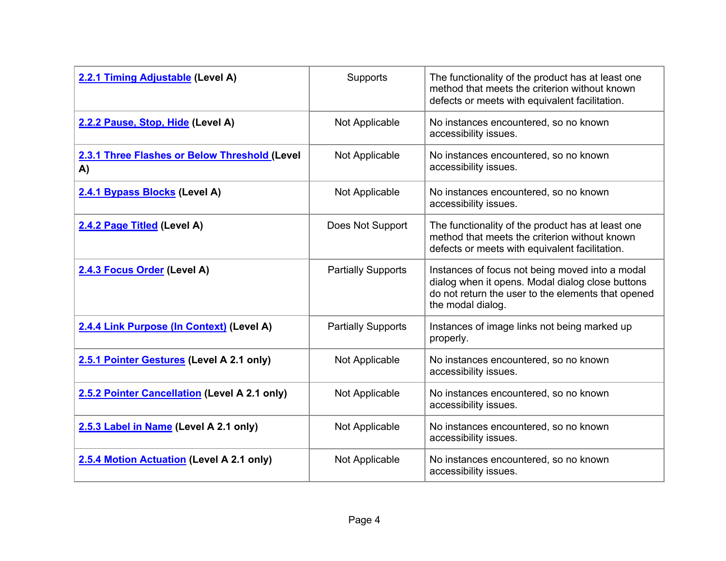| 2.2.1 Timing Adjustable (Level A)                   | Supports                  | The functionality of the product has at least one<br>method that meets the criterion without known<br>defects or meets with equivalent facilitation.                           |
|-----------------------------------------------------|---------------------------|--------------------------------------------------------------------------------------------------------------------------------------------------------------------------------|
| 2.2.2 Pause, Stop, Hide (Level A)                   | Not Applicable            | No instances encountered, so no known<br>accessibility issues.                                                                                                                 |
| 2.3.1 Three Flashes or Below Threshold (Level<br>A) | Not Applicable            | No instances encountered, so no known<br>accessibility issues.                                                                                                                 |
| 2.4.1 Bypass Blocks (Level A)                       | Not Applicable            | No instances encountered, so no known<br>accessibility issues.                                                                                                                 |
| 2.4.2 Page Titled (Level A)                         | Does Not Support          | The functionality of the product has at least one<br>method that meets the criterion without known<br>defects or meets with equivalent facilitation.                           |
| 2.4.3 Focus Order (Level A)                         | <b>Partially Supports</b> | Instances of focus not being moved into a modal<br>dialog when it opens. Modal dialog close buttons<br>do not return the user to the elements that opened<br>the modal dialog. |
| 2.4.4 Link Purpose (In Context) (Level A)           | <b>Partially Supports</b> | Instances of image links not being marked up<br>properly.                                                                                                                      |
| 2.5.1 Pointer Gestures (Level A 2.1 only)           | Not Applicable            | No instances encountered, so no known<br>accessibility issues.                                                                                                                 |
| 2.5.2 Pointer Cancellation (Level A 2.1 only)       | Not Applicable            | No instances encountered, so no known<br>accessibility issues.                                                                                                                 |
| 2.5.3 Label in Name (Level A 2.1 only)              | Not Applicable            | No instances encountered, so no known<br>accessibility issues.                                                                                                                 |
| 2.5.4 Motion Actuation (Level A 2.1 only)           | Not Applicable            | No instances encountered, so no known<br>accessibility issues.                                                                                                                 |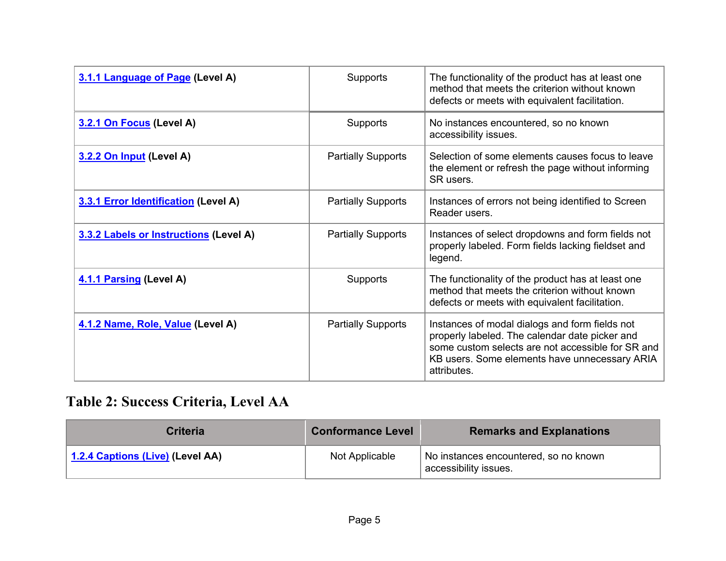| 3.1.1 Language of Page (Level A)       | Supports                  | The functionality of the product has at least one<br>method that meets the criterion without known<br>defects or meets with equivalent facilitation.                                                                  |
|----------------------------------------|---------------------------|-----------------------------------------------------------------------------------------------------------------------------------------------------------------------------------------------------------------------|
| 3.2.1 On Focus (Level A)               | Supports                  | No instances encountered, so no known<br>accessibility issues.                                                                                                                                                        |
| 3.2.2 On Input (Level A)               | <b>Partially Supports</b> | Selection of some elements causes focus to leave<br>the element or refresh the page without informing<br>SR users.                                                                                                    |
| 3.3.1 Error Identification (Level A)   | <b>Partially Supports</b> | Instances of errors not being identified to Screen<br>Reader users.                                                                                                                                                   |
| 3.3.2 Labels or Instructions (Level A) | <b>Partially Supports</b> | Instances of select dropdowns and form fields not<br>properly labeled. Form fields lacking fieldset and<br>legend.                                                                                                    |
| 4.1.1 Parsing (Level A)                | Supports                  | The functionality of the product has at least one<br>method that meets the criterion without known<br>defects or meets with equivalent facilitation.                                                                  |
| 4.1.2 Name, Role, Value (Level A)      | <b>Partially Supports</b> | Instances of modal dialogs and form fields not<br>properly labeled. The calendar date picker and<br>some custom selects are not accessible for SR and<br>KB users. Some elements have unnecessary ARIA<br>attributes. |

# **Table 2: Success Criteria, Level AA**

| <b>Criteria</b>                  | <b>Conformance Level</b> | <b>Remarks and Explanations</b>                                |
|----------------------------------|--------------------------|----------------------------------------------------------------|
| 1.2.4 Captions (Live) (Level AA) | Not Applicable           | No instances encountered, so no known<br>accessibility issues. |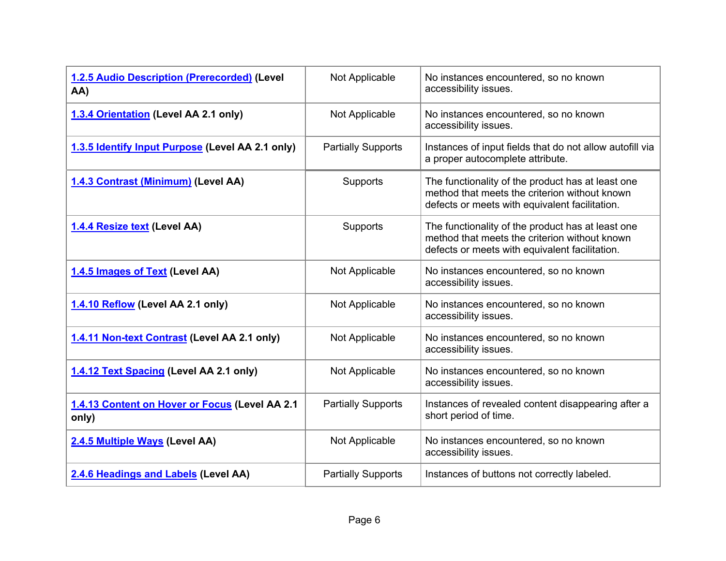| 1.2.5 Audio Description (Prerecorded) (Level<br>AA)     | Not Applicable            | No instances encountered, so no known<br>accessibility issues.                                                                                       |
|---------------------------------------------------------|---------------------------|------------------------------------------------------------------------------------------------------------------------------------------------------|
| 1.3.4 Orientation (Level AA 2.1 only)                   | Not Applicable            | No instances encountered, so no known<br>accessibility issues.                                                                                       |
| 1.3.5 Identify Input Purpose (Level AA 2.1 only)        | <b>Partially Supports</b> | Instances of input fields that do not allow autofill via<br>a proper autocomplete attribute.                                                         |
| 1.4.3 Contrast (Minimum) (Level AA)                     | Supports                  | The functionality of the product has at least one<br>method that meets the criterion without known<br>defects or meets with equivalent facilitation. |
| 1.4.4 Resize text (Level AA)                            | Supports                  | The functionality of the product has at least one<br>method that meets the criterion without known<br>defects or meets with equivalent facilitation. |
| 1.4.5 Images of Text (Level AA)                         | Not Applicable            | No instances encountered, so no known<br>accessibility issues.                                                                                       |
| 1.4.10 Reflow (Level AA 2.1 only)                       | Not Applicable            | No instances encountered, so no known<br>accessibility issues.                                                                                       |
| 1.4.11 Non-text Contrast (Level AA 2.1 only)            | Not Applicable            | No instances encountered, so no known<br>accessibility issues.                                                                                       |
| 1.4.12 Text Spacing (Level AA 2.1 only)                 | Not Applicable            | No instances encountered, so no known<br>accessibility issues.                                                                                       |
| 1.4.13 Content on Hover or Focus (Level AA 2.1<br>only) | <b>Partially Supports</b> | Instances of revealed content disappearing after a<br>short period of time.                                                                          |
| 2.4.5 Multiple Ways (Level AA)                          | Not Applicable            | No instances encountered, so no known<br>accessibility issues.                                                                                       |
| 2.4.6 Headings and Labels (Level AA)                    | <b>Partially Supports</b> | Instances of buttons not correctly labeled.                                                                                                          |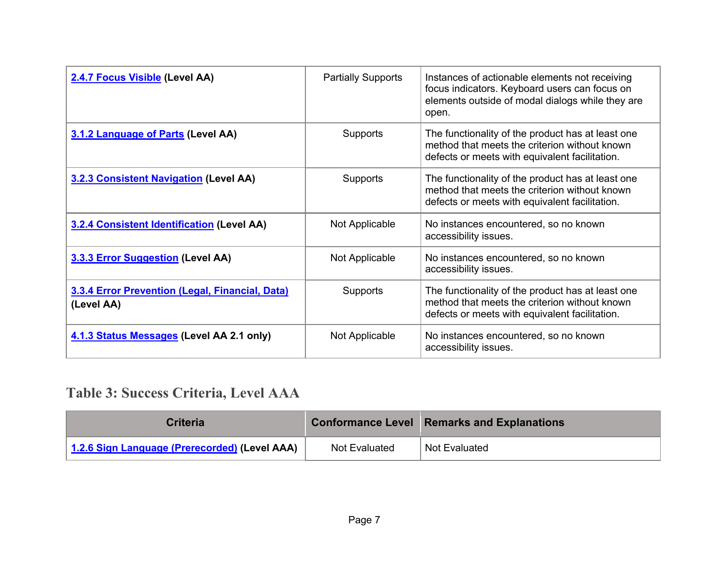| 2.4.7 Focus Visible (Level AA)                                | <b>Partially Supports</b> | Instances of actionable elements not receiving<br>focus indicators. Keyboard users can focus on<br>elements outside of modal dialogs while they are<br>open. |
|---------------------------------------------------------------|---------------------------|--------------------------------------------------------------------------------------------------------------------------------------------------------------|
| 3.1.2 Language of Parts (Level AA)                            | Supports                  | The functionality of the product has at least one<br>method that meets the criterion without known<br>defects or meets with equivalent facilitation.         |
| <b>3.2.3 Consistent Navigation (Level AA)</b>                 | <b>Supports</b>           | The functionality of the product has at least one<br>method that meets the criterion without known<br>defects or meets with equivalent facilitation.         |
| <b>3.2.4 Consistent Identification (Level AA)</b>             | Not Applicable            | No instances encountered, so no known<br>accessibility issues.                                                                                               |
| 3.3.3 Error Suggestion (Level AA)                             | Not Applicable            | No instances encountered, so no known<br>accessibility issues.                                                                                               |
| 3.3.4 Error Prevention (Legal, Financial, Data)<br>(Level AA) | Supports                  | The functionality of the product has at least one<br>method that meets the criterion without known<br>defects or meets with equivalent facilitation.         |
| 4.1.3 Status Messages (Level AA 2.1 only)                     | Not Applicable            | No instances encountered, so no known<br>accessibility issues.                                                                                               |

## **Table 3: Success Criteria, Level AAA**

| <b>Criteria</b>                               |               | <b>Conformance Level Remarks and Explanations</b> |
|-----------------------------------------------|---------------|---------------------------------------------------|
| 1.2.6 Sign Language (Prerecorded) (Level AAA) | Not Evaluated | Not Evaluated                                     |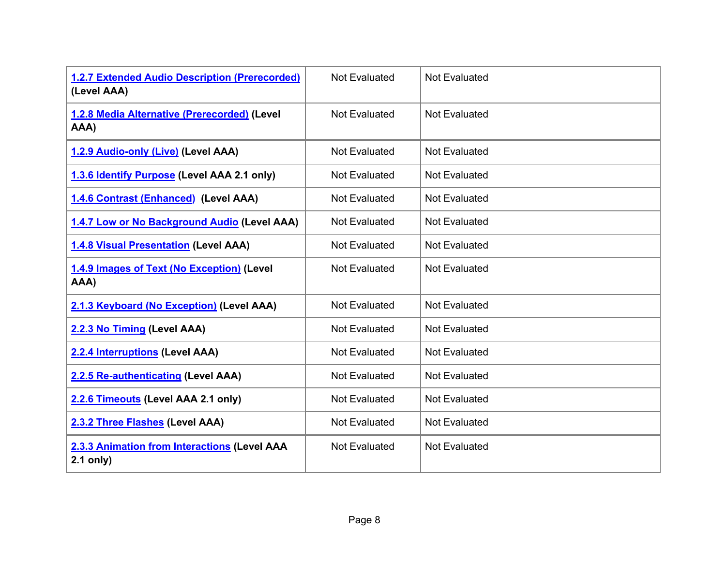| <b>1.2.7 Extended Audio Description (Prerecorded)</b><br>(Level AAA) | <b>Not Evaluated</b> | <b>Not Evaluated</b> |
|----------------------------------------------------------------------|----------------------|----------------------|
| 1.2.8 Media Alternative (Prerecorded) (Level<br>AAA)                 | <b>Not Evaluated</b> | <b>Not Evaluated</b> |
| 1.2.9 Audio-only (Live) (Level AAA)                                  | <b>Not Evaluated</b> | <b>Not Evaluated</b> |
| 1.3.6 Identify Purpose (Level AAA 2.1 only)                          | <b>Not Evaluated</b> | <b>Not Evaluated</b> |
| 1.4.6 Contrast (Enhanced) (Level AAA)                                | <b>Not Evaluated</b> | <b>Not Evaluated</b> |
| 1.4.7 Low or No Background Audio (Level AAA)                         | <b>Not Evaluated</b> | <b>Not Evaluated</b> |
| <b>1.4.8 Visual Presentation (Level AAA)</b>                         | <b>Not Evaluated</b> | <b>Not Evaluated</b> |
| 1.4.9 Images of Text (No Exception) (Level<br>AAA)                   | <b>Not Evaluated</b> | <b>Not Evaluated</b> |
| 2.1.3 Keyboard (No Exception) (Level AAA)                            | <b>Not Evaluated</b> | <b>Not Evaluated</b> |
| 2.2.3 No Timing (Level AAA)                                          | <b>Not Evaluated</b> | <b>Not Evaluated</b> |
| 2.2.4 Interruptions (Level AAA)                                      | <b>Not Evaluated</b> | <b>Not Evaluated</b> |
| 2.2.5 Re-authenticating (Level AAA)                                  | <b>Not Evaluated</b> | <b>Not Evaluated</b> |
| 2.2.6 Timeouts (Level AAA 2.1 only)                                  | <b>Not Evaluated</b> | <b>Not Evaluated</b> |
| 2.3.2 Three Flashes (Level AAA)                                      | <b>Not Evaluated</b> | <b>Not Evaluated</b> |
| 2.3.3 Animation from Interactions (Level AAA<br>$2.1$ only)          | Not Evaluated        | <b>Not Evaluated</b> |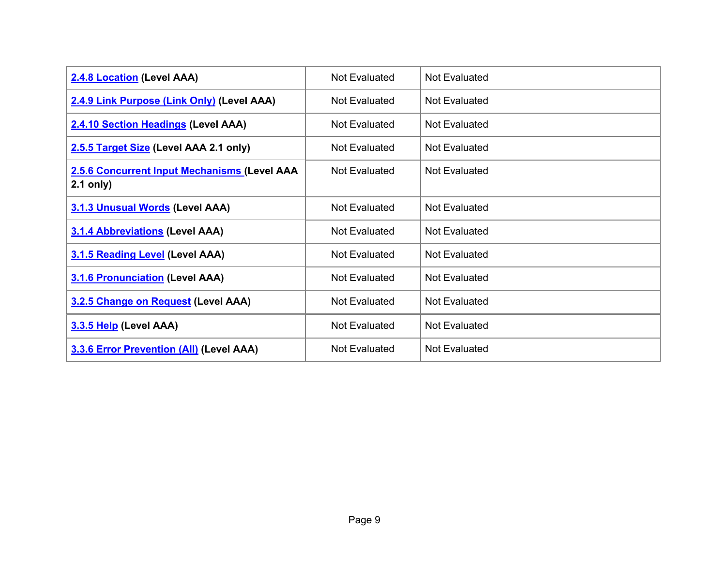| 2.4.8 Location (Level AAA)                                  | Not Evaluated | <b>Not Evaluated</b> |
|-------------------------------------------------------------|---------------|----------------------|
| 2.4.9 Link Purpose (Link Only) (Level AAA)                  | Not Evaluated | Not Evaluated        |
| 2.4.10 Section Headings (Level AAA)                         | Not Evaluated | Not Evaluated        |
| 2.5.5 Target Size (Level AAA 2.1 only)                      | Not Evaluated | Not Evaluated        |
| 2.5.6 Concurrent Input Mechanisms (Level AAA<br>$2.1$ only) | Not Evaluated | <b>Not Evaluated</b> |
| 3.1.3 Unusual Words (Level AAA)                             | Not Evaluated | <b>Not Evaluated</b> |
| <b>3.1.4 Abbreviations (Level AAA)</b>                      | Not Evaluated | <b>Not Evaluated</b> |
| 3.1.5 Reading Level (Level AAA)                             | Not Evaluated | <b>Not Evaluated</b> |
| <b>3.1.6 Pronunciation (Level AAA)</b>                      | Not Evaluated | Not Evaluated        |
| 3.2.5 Change on Request (Level AAA)                         | Not Evaluated | <b>Not Evaluated</b> |
| 3.3.5 Help (Level AAA)                                      | Not Evaluated | <b>Not Evaluated</b> |
| <b>3.3.6 Error Prevention (All) (Level AAA)</b>             | Not Evaluated | <b>Not Evaluated</b> |